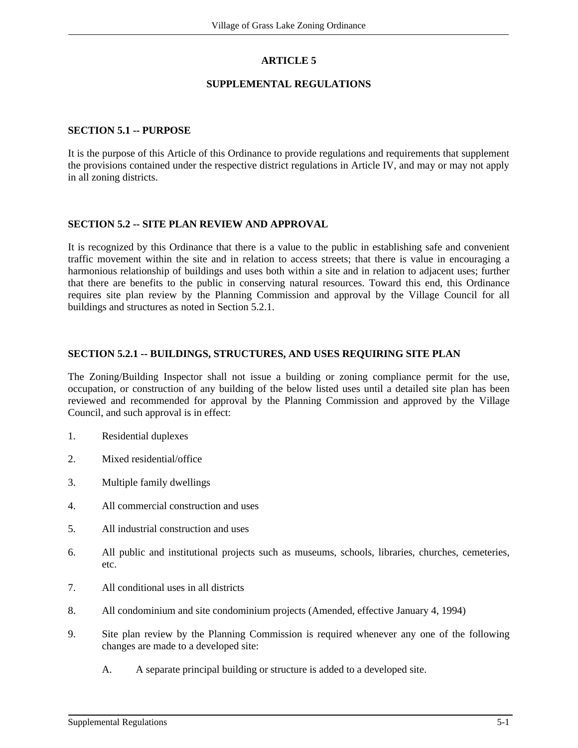## **ARTICLE 5**

## **SUPPLEMENTAL REGULATIONS**

#### **SECTION 5.1 -- PURPOSE**

It is the purpose of this Article of this Ordinance to provide regulations and requirements that supplement the provisions contained under the respective district regulations in Article IV, and may or may not apply in all zoning districts.

#### **SECTION 5.2 -- SITE PLAN REVIEW AND APPROVAL**

It is recognized by this Ordinance that there is a value to the public in establishing safe and convenient traffic movement within the site and in relation to access streets; that there is value in encouraging a harmonious relationship of buildings and uses both within a site and in relation to adjacent uses; further that there are benefits to the public in conserving natural resources. Toward this end, this Ordinance requires site plan review by the Planning Commission and approval by the Village Council for all buildings and structures as noted in Section 5.2.1.

#### **SECTION 5.2.1 -- BUILDINGS, STRUCTURES, AND USES REQUIRING SITE PLAN**

The Zoning/Building Inspector shall not issue a building or zoning compliance permit for the use, occupation, or construction of any building of the below listed uses until a detailed site plan has been reviewed and recommended for approval by the Planning Commission and approved by the Village Council, and such approval is in effect:

- 1. Residential duplexes
- 2. Mixed residential/office
- 3. Multiple family dwellings
- 4. All commercial construction and uses
- 5. All industrial construction and uses
- 6. All public and institutional projects such as museums, schools, libraries, churches, cemeteries, etc.
- 7. All conditional uses in all districts
- 8. All condominium and site condominium projects (Amended, effective January 4, 1994)
- 9. Site plan review by the Planning Commission is required whenever any one of the following changes are made to a developed site:
	- A. A separate principal building or structure is added to a developed site.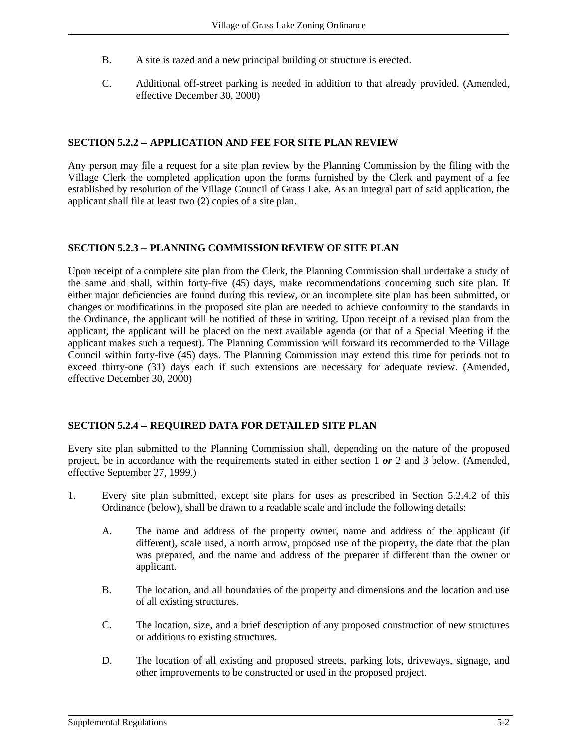- B. A site is razed and a new principal building or structure is erected.
- C. Additional off-street parking is needed in addition to that already provided. (Amended, effective December 30, 2000)

### **SECTION 5.2.2 -- APPLICATION AND FEE FOR SITE PLAN REVIEW**

Any person may file a request for a site plan review by the Planning Commission by the filing with the Village Clerk the completed application upon the forms furnished by the Clerk and payment of a fee established by resolution of the Village Council of Grass Lake. As an integral part of said application, the applicant shall file at least two (2) copies of a site plan.

#### **SECTION 5.2.3 -- PLANNING COMMISSION REVIEW OF SITE PLAN**

Upon receipt of a complete site plan from the Clerk, the Planning Commission shall undertake a study of the same and shall, within forty-five (45) days, make recommendations concerning such site plan. If either major deficiencies are found during this review, or an incomplete site plan has been submitted, or changes or modifications in the proposed site plan are needed to achieve conformity to the standards in the Ordinance, the applicant will be notified of these in writing. Upon receipt of a revised plan from the applicant, the applicant will be placed on the next available agenda (or that of a Special Meeting if the applicant makes such a request). The Planning Commission will forward its recommended to the Village Council within forty-five (45) days. The Planning Commission may extend this time for periods not to exceed thirty-one (31) days each if such extensions are necessary for adequate review. (Amended, effective December 30, 2000)

## **SECTION 5.2.4 -- REQUIRED DATA FOR DETAILED SITE PLAN**

Every site plan submitted to the Planning Commission shall, depending on the nature of the proposed project, be in accordance with the requirements stated in either section 1 *or* 2 and 3 below. (Amended, effective September 27, 1999.)

- 1. Every site plan submitted, except site plans for uses as prescribed in Section 5.2.4.2 of this Ordinance (below), shall be drawn to a readable scale and include the following details:
	- A. The name and address of the property owner, name and address of the applicant (if different), scale used, a north arrow, proposed use of the property, the date that the plan was prepared, and the name and address of the preparer if different than the owner or applicant.
	- B. The location, and all boundaries of the property and dimensions and the location and use of all existing structures.
	- C. The location, size, and a brief description of any proposed construction of new structures or additions to existing structures.
	- D. The location of all existing and proposed streets, parking lots, driveways, signage, and other improvements to be constructed or used in the proposed project.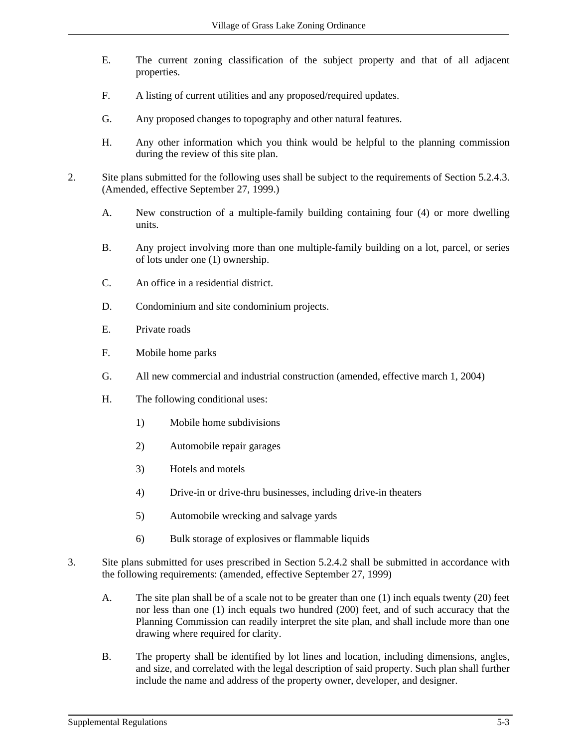- E. The current zoning classification of the subject property and that of all adjacent properties.
- F. A listing of current utilities and any proposed/required updates.
- G. Any proposed changes to topography and other natural features.
- H. Any other information which you think would be helpful to the planning commission during the review of this site plan.
- 2. Site plans submitted for the following uses shall be subject to the requirements of Section 5.2.4.3. (Amended, effective September 27, 1999.)
	- A. New construction of a multiple-family building containing four (4) or more dwelling units.
	- B. Any project involving more than one multiple-family building on a lot, parcel, or series of lots under one (1) ownership.
	- C. An office in a residential district.
	- D. Condominium and site condominium projects.
	- E. Private roads
	- F. Mobile home parks
	- G. All new commercial and industrial construction (amended, effective march 1, 2004)
	- H. The following conditional uses:
		- 1) Mobile home subdivisions
		- 2) Automobile repair garages
		- 3) Hotels and motels
		- 4) Drive-in or drive-thru businesses, including drive-in theaters
		- 5) Automobile wrecking and salvage yards
		- 6) Bulk storage of explosives or flammable liquids
- 3. Site plans submitted for uses prescribed in Section 5.2.4.2 shall be submitted in accordance with the following requirements: (amended, effective September 27, 1999)
	- A. The site plan shall be of a scale not to be greater than one (1) inch equals twenty (20) feet nor less than one (1) inch equals two hundred (200) feet, and of such accuracy that the Planning Commission can readily interpret the site plan, and shall include more than one drawing where required for clarity.
	- B. The property shall be identified by lot lines and location, including dimensions, angles, and size, and correlated with the legal description of said property. Such plan shall further include the name and address of the property owner, developer, and designer.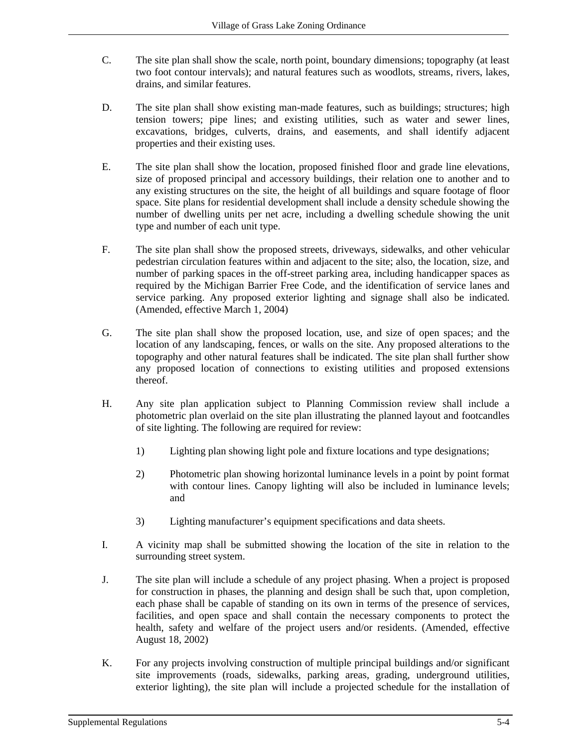- C. The site plan shall show the scale, north point, boundary dimensions; topography (at least two foot contour intervals); and natural features such as woodlots, streams, rivers, lakes, drains, and similar features.
- D. The site plan shall show existing man-made features, such as buildings; structures; high tension towers; pipe lines; and existing utilities, such as water and sewer lines, excavations, bridges, culverts, drains, and easements, and shall identify adjacent properties and their existing uses.
- E. The site plan shall show the location, proposed finished floor and grade line elevations, size of proposed principal and accessory buildings, their relation one to another and to any existing structures on the site, the height of all buildings and square footage of floor space. Site plans for residential development shall include a density schedule showing the number of dwelling units per net acre, including a dwelling schedule showing the unit type and number of each unit type.
- F. The site plan shall show the proposed streets, driveways, sidewalks, and other vehicular pedestrian circulation features within and adjacent to the site; also, the location, size, and number of parking spaces in the off-street parking area, including handicapper spaces as required by the Michigan Barrier Free Code, and the identification of service lanes and service parking. Any proposed exterior lighting and signage shall also be indicated. (Amended, effective March 1, 2004)
- G. The site plan shall show the proposed location, use, and size of open spaces; and the location of any landscaping, fences, or walls on the site. Any proposed alterations to the topography and other natural features shall be indicated. The site plan shall further show any proposed location of connections to existing utilities and proposed extensions thereof.
- H. Any site plan application subject to Planning Commission review shall include a photometric plan overlaid on the site plan illustrating the planned layout and footcandles of site lighting. The following are required for review:
	- 1) Lighting plan showing light pole and fixture locations and type designations;
	- 2) Photometric plan showing horizontal luminance levels in a point by point format with contour lines. Canopy lighting will also be included in luminance levels; and
	- 3) Lighting manufacturer's equipment specifications and data sheets.
- I. A vicinity map shall be submitted showing the location of the site in relation to the surrounding street system.
- J. The site plan will include a schedule of any project phasing. When a project is proposed for construction in phases, the planning and design shall be such that, upon completion, each phase shall be capable of standing on its own in terms of the presence of services, facilities, and open space and shall contain the necessary components to protect the health, safety and welfare of the project users and/or residents. (Amended, effective August 18, 2002)
- K. For any projects involving construction of multiple principal buildings and/or significant site improvements (roads, sidewalks, parking areas, grading, underground utilities, exterior lighting), the site plan will include a projected schedule for the installation of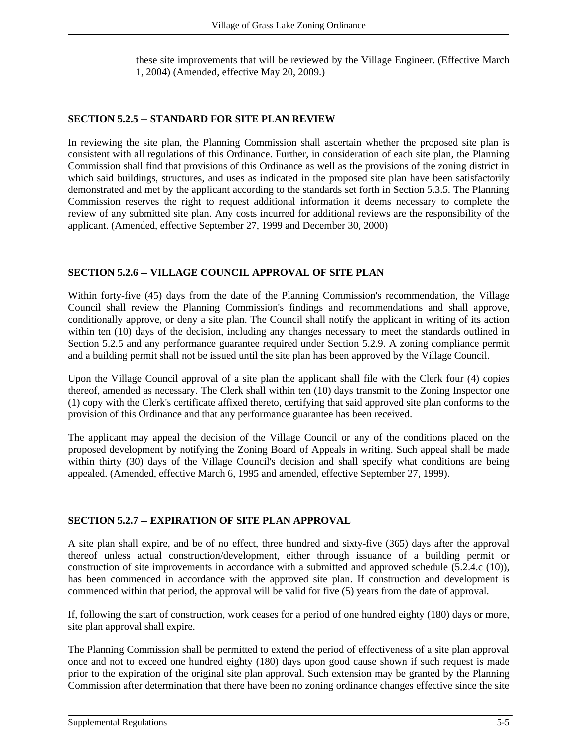these site improvements that will be reviewed by the Village Engineer. (Effective March 1, 2004) (Amended, effective May 20, 2009.)

#### **SECTION 5.2.5 -- STANDARD FOR SITE PLAN REVIEW**

In reviewing the site plan, the Planning Commission shall ascertain whether the proposed site plan is consistent with all regulations of this Ordinance. Further, in consideration of each site plan, the Planning Commission shall find that provisions of this Ordinance as well as the provisions of the zoning district in which said buildings, structures, and uses as indicated in the proposed site plan have been satisfactorily demonstrated and met by the applicant according to the standards set forth in Section 5.3.5. The Planning Commission reserves the right to request additional information it deems necessary to complete the review of any submitted site plan. Any costs incurred for additional reviews are the responsibility of the applicant. (Amended, effective September 27, 1999 and December 30, 2000)

#### **SECTION 5.2.6 -- VILLAGE COUNCIL APPROVAL OF SITE PLAN**

Within forty-five (45) days from the date of the Planning Commission's recommendation, the Village Council shall review the Planning Commission's findings and recommendations and shall approve, conditionally approve, or deny a site plan. The Council shall notify the applicant in writing of its action within ten (10) days of the decision, including any changes necessary to meet the standards outlined in Section 5.2.5 and any performance guarantee required under Section 5.2.9. A zoning compliance permit and a building permit shall not be issued until the site plan has been approved by the Village Council.

Upon the Village Council approval of a site plan the applicant shall file with the Clerk four (4) copies thereof, amended as necessary. The Clerk shall within ten (10) days transmit to the Zoning Inspector one (1) copy with the Clerk's certificate affixed thereto, certifying that said approved site plan conforms to the provision of this Ordinance and that any performance guarantee has been received.

The applicant may appeal the decision of the Village Council or any of the conditions placed on the proposed development by notifying the Zoning Board of Appeals in writing. Such appeal shall be made within thirty (30) days of the Village Council's decision and shall specify what conditions are being appealed. (Amended, effective March 6, 1995 and amended, effective September 27, 1999).

#### **SECTION 5.2.7 -- EXPIRATION OF SITE PLAN APPROVAL**

A site plan shall expire, and be of no effect, three hundred and sixty-five (365) days after the approval thereof unless actual construction/development, either through issuance of a building permit or construction of site improvements in accordance with a submitted and approved schedule (5.2.4.c (10)), has been commenced in accordance with the approved site plan. If construction and development is commenced within that period, the approval will be valid for five (5) years from the date of approval.

If, following the start of construction, work ceases for a period of one hundred eighty (180) days or more, site plan approval shall expire.

The Planning Commission shall be permitted to extend the period of effectiveness of a site plan approval once and not to exceed one hundred eighty (180) days upon good cause shown if such request is made prior to the expiration of the original site plan approval. Such extension may be granted by the Planning Commission after determination that there have been no zoning ordinance changes effective since the site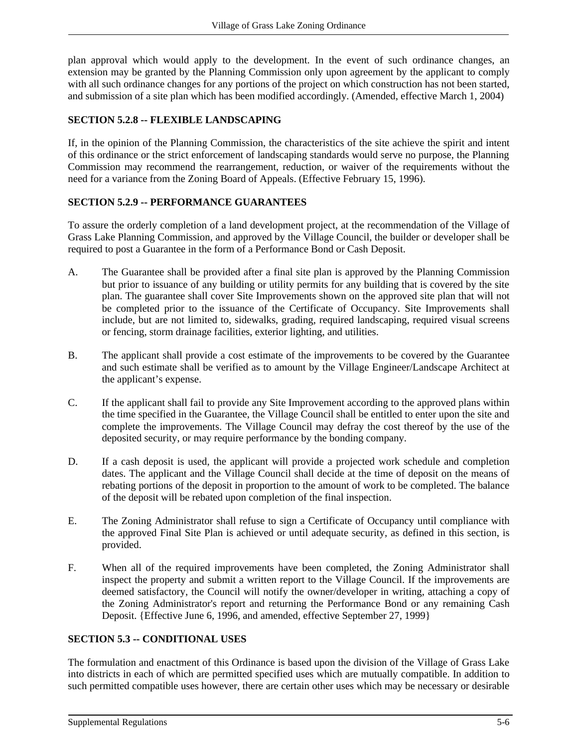plan approval which would apply to the development. In the event of such ordinance changes, an extension may be granted by the Planning Commission only upon agreement by the applicant to comply with all such ordinance changes for any portions of the project on which construction has not been started, and submission of a site plan which has been modified accordingly. (Amended, effective March 1, 2004)

# **SECTION 5.2.8 -- FLEXIBLE LANDSCAPING**

If, in the opinion of the Planning Commission, the characteristics of the site achieve the spirit and intent of this ordinance or the strict enforcement of landscaping standards would serve no purpose, the Planning Commission may recommend the rearrangement, reduction, or waiver of the requirements without the need for a variance from the Zoning Board of Appeals. (Effective February 15, 1996).

## **SECTION 5.2.9 -- PERFORMANCE GUARANTEES**

To assure the orderly completion of a land development project, at the recommendation of the Village of Grass Lake Planning Commission, and approved by the Village Council, the builder or developer shall be required to post a Guarantee in the form of a Performance Bond or Cash Deposit.

- A. The Guarantee shall be provided after a final site plan is approved by the Planning Commission but prior to issuance of any building or utility permits for any building that is covered by the site plan. The guarantee shall cover Site Improvements shown on the approved site plan that will not be completed prior to the issuance of the Certificate of Occupancy. Site Improvements shall include, but are not limited to, sidewalks, grading, required landscaping, required visual screens or fencing, storm drainage facilities, exterior lighting, and utilities.
- B. The applicant shall provide a cost estimate of the improvements to be covered by the Guarantee and such estimate shall be verified as to amount by the Village Engineer/Landscape Architect at the applicant's expense.
- C. If the applicant shall fail to provide any Site Improvement according to the approved plans within the time specified in the Guarantee, the Village Council shall be entitled to enter upon the site and complete the improvements. The Village Council may defray the cost thereof by the use of the deposited security, or may require performance by the bonding company.
- D. If a cash deposit is used, the applicant will provide a projected work schedule and completion dates. The applicant and the Village Council shall decide at the time of deposit on the means of rebating portions of the deposit in proportion to the amount of work to be completed. The balance of the deposit will be rebated upon completion of the final inspection.
- E. The Zoning Administrator shall refuse to sign a Certificate of Occupancy until compliance with the approved Final Site Plan is achieved or until adequate security, as defined in this section, is provided.
- F. When all of the required improvements have been completed, the Zoning Administrator shall inspect the property and submit a written report to the Village Council. If the improvements are deemed satisfactory, the Council will notify the owner/developer in writing, attaching a copy of the Zoning Administrator's report and returning the Performance Bond or any remaining Cash Deposit. {Effective June 6, 1996, and amended, effective September 27, 1999}

## **SECTION 5.3 -- CONDITIONAL USES**

The formulation and enactment of this Ordinance is based upon the division of the Village of Grass Lake into districts in each of which are permitted specified uses which are mutually compatible. In addition to such permitted compatible uses however, there are certain other uses which may be necessary or desirable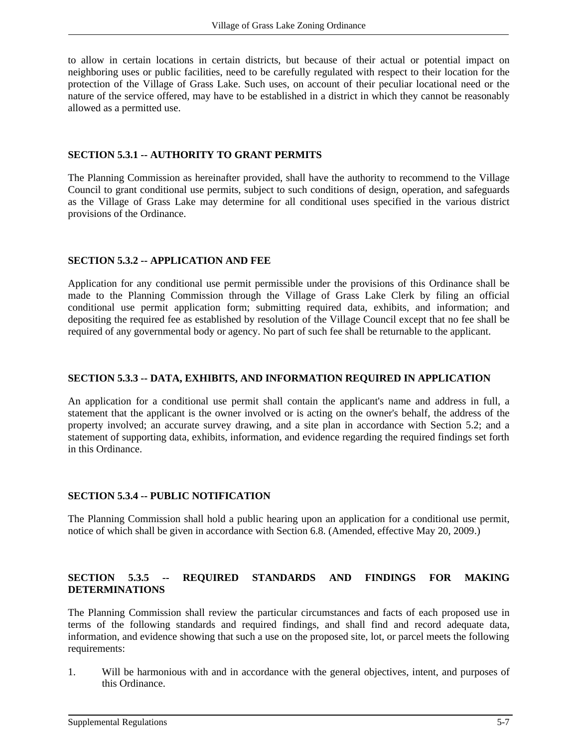to allow in certain locations in certain districts, but because of their actual or potential impact on neighboring uses or public facilities, need to be carefully regulated with respect to their location for the protection of the Village of Grass Lake. Such uses, on account of their peculiar locational need or the nature of the service offered, may have to be established in a district in which they cannot be reasonably allowed as a permitted use.

### **SECTION 5.3.1 -- AUTHORITY TO GRANT PERMITS**

The Planning Commission as hereinafter provided, shall have the authority to recommend to the Village Council to grant conditional use permits, subject to such conditions of design, operation, and safeguards as the Village of Grass Lake may determine for all conditional uses specified in the various district provisions of the Ordinance.

#### **SECTION 5.3.2 -- APPLICATION AND FEE**

Application for any conditional use permit permissible under the provisions of this Ordinance shall be made to the Planning Commission through the Village of Grass Lake Clerk by filing an official conditional use permit application form; submitting required data, exhibits, and information; and depositing the required fee as established by resolution of the Village Council except that no fee shall be required of any governmental body or agency. No part of such fee shall be returnable to the applicant.

### **SECTION 5.3.3 -- DATA, EXHIBITS, AND INFORMATION REQUIRED IN APPLICATION**

An application for a conditional use permit shall contain the applicant's name and address in full, a statement that the applicant is the owner involved or is acting on the owner's behalf, the address of the property involved; an accurate survey drawing, and a site plan in accordance with Section 5.2; and a statement of supporting data, exhibits, information, and evidence regarding the required findings set forth in this Ordinance.

## **SECTION 5.3.4 -- PUBLIC NOTIFICATION**

The Planning Commission shall hold a public hearing upon an application for a conditional use permit, notice of which shall be given in accordance with Section 6.8. (Amended, effective May 20, 2009.)

## **SECTION 5.3.5 -- REQUIRED STANDARDS AND FINDINGS FOR MAKING DETERMINATIONS**

The Planning Commission shall review the particular circumstances and facts of each proposed use in terms of the following standards and required findings, and shall find and record adequate data, information, and evidence showing that such a use on the proposed site, lot, or parcel meets the following requirements:

1. Will be harmonious with and in accordance with the general objectives, intent, and purposes of this Ordinance.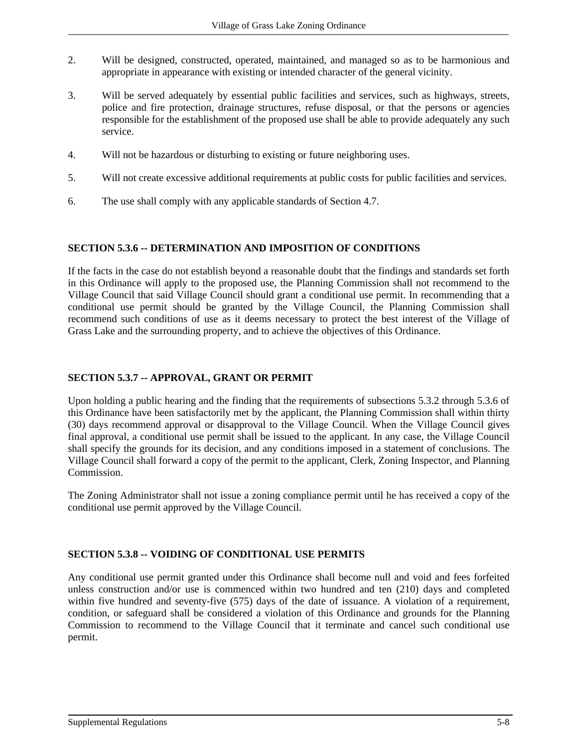- 2. Will be designed, constructed, operated, maintained, and managed so as to be harmonious and appropriate in appearance with existing or intended character of the general vicinity.
- 3. Will be served adequately by essential public facilities and services, such as highways, streets, police and fire protection, drainage structures, refuse disposal, or that the persons or agencies responsible for the establishment of the proposed use shall be able to provide adequately any such service.
- 4. Will not be hazardous or disturbing to existing or future neighboring uses.
- 5. Will not create excessive additional requirements at public costs for public facilities and services.
- 6. The use shall comply with any applicable standards of Section 4.7.

#### **SECTION 5.3.6 -- DETERMINATION AND IMPOSITION OF CONDITIONS**

If the facts in the case do not establish beyond a reasonable doubt that the findings and standards set forth in this Ordinance will apply to the proposed use, the Planning Commission shall not recommend to the Village Council that said Village Council should grant a conditional use permit. In recommending that a conditional use permit should be granted by the Village Council, the Planning Commission shall recommend such conditions of use as it deems necessary to protect the best interest of the Village of Grass Lake and the surrounding property, and to achieve the objectives of this Ordinance.

## **SECTION 5.3.7 -- APPROVAL, GRANT OR PERMIT**

Upon holding a public hearing and the finding that the requirements of subsections 5.3.2 through 5.3.6 of this Ordinance have been satisfactorily met by the applicant, the Planning Commission shall within thirty (30) days recommend approval or disapproval to the Village Council. When the Village Council gives final approval, a conditional use permit shall be issued to the applicant. In any case, the Village Council shall specify the grounds for its decision, and any conditions imposed in a statement of conclusions. The Village Council shall forward a copy of the permit to the applicant, Clerk, Zoning Inspector, and Planning Commission.

The Zoning Administrator shall not issue a zoning compliance permit until he has received a copy of the conditional use permit approved by the Village Council.

## **SECTION 5.3.8 -- VOIDING OF CONDITIONAL USE PERMITS**

Any conditional use permit granted under this Ordinance shall become null and void and fees forfeited unless construction and/or use is commenced within two hundred and ten (210) days and completed within five hundred and seventy-five (575) days of the date of issuance. A violation of a requirement, condition, or safeguard shall be considered a violation of this Ordinance and grounds for the Planning Commission to recommend to the Village Council that it terminate and cancel such conditional use permit.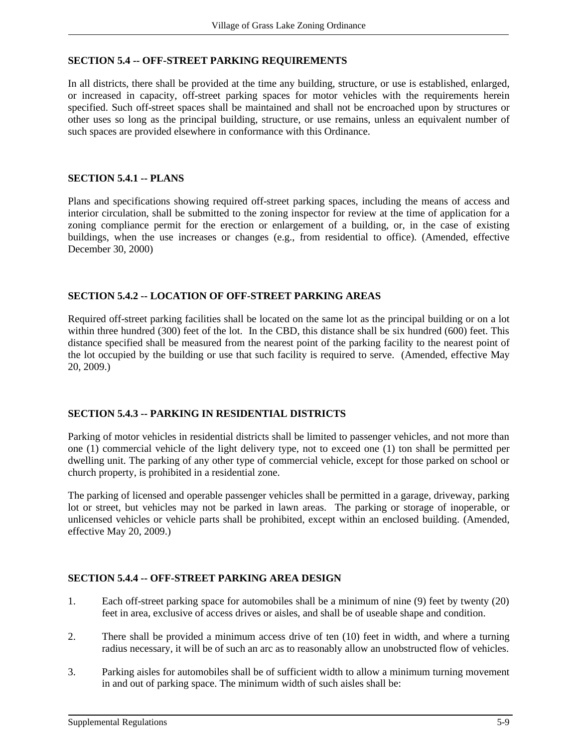### **SECTION 5.4 -- OFF-STREET PARKING REQUIREMENTS**

In all districts, there shall be provided at the time any building, structure, or use is established, enlarged, or increased in capacity, off-street parking spaces for motor vehicles with the requirements herein specified. Such off-street spaces shall be maintained and shall not be encroached upon by structures or other uses so long as the principal building, structure, or use remains, unless an equivalent number of such spaces are provided elsewhere in conformance with this Ordinance.

#### **SECTION 5.4.1 -- PLANS**

Plans and specifications showing required off-street parking spaces, including the means of access and interior circulation, shall be submitted to the zoning inspector for review at the time of application for a zoning compliance permit for the erection or enlargement of a building, or, in the case of existing buildings, when the use increases or changes (e.g., from residential to office). (Amended, effective December 30, 2000)

#### **SECTION 5.4.2 -- LOCATION OF OFF-STREET PARKING AREAS**

Required off-street parking facilities shall be located on the same lot as the principal building or on a lot within three hundred (300) feet of the lot. In the CBD, this distance shall be six hundred (600) feet. This distance specified shall be measured from the nearest point of the parking facility to the nearest point of the lot occupied by the building or use that such facility is required to serve. (Amended, effective May 20, 2009.)

#### **SECTION 5.4.3 -- PARKING IN RESIDENTIAL DISTRICTS**

Parking of motor vehicles in residential districts shall be limited to passenger vehicles, and not more than one (1) commercial vehicle of the light delivery type, not to exceed one (1) ton shall be permitted per dwelling unit. The parking of any other type of commercial vehicle, except for those parked on school or church property, is prohibited in a residential zone.

The parking of licensed and operable passenger vehicles shall be permitted in a garage, driveway, parking lot or street, but vehicles may not be parked in lawn areas. The parking or storage of inoperable, or unlicensed vehicles or vehicle parts shall be prohibited, except within an enclosed building. (Amended, effective May 20, 2009.)

#### **SECTION 5.4.4 -- OFF-STREET PARKING AREA DESIGN**

- 1. Each off-street parking space for automobiles shall be a minimum of nine (9) feet by twenty (20) feet in area, exclusive of access drives or aisles, and shall be of useable shape and condition.
- 2. There shall be provided a minimum access drive of ten (10) feet in width, and where a turning radius necessary, it will be of such an arc as to reasonably allow an unobstructed flow of vehicles.
- 3. Parking aisles for automobiles shall be of sufficient width to allow a minimum turning movement in and out of parking space. The minimum width of such aisles shall be: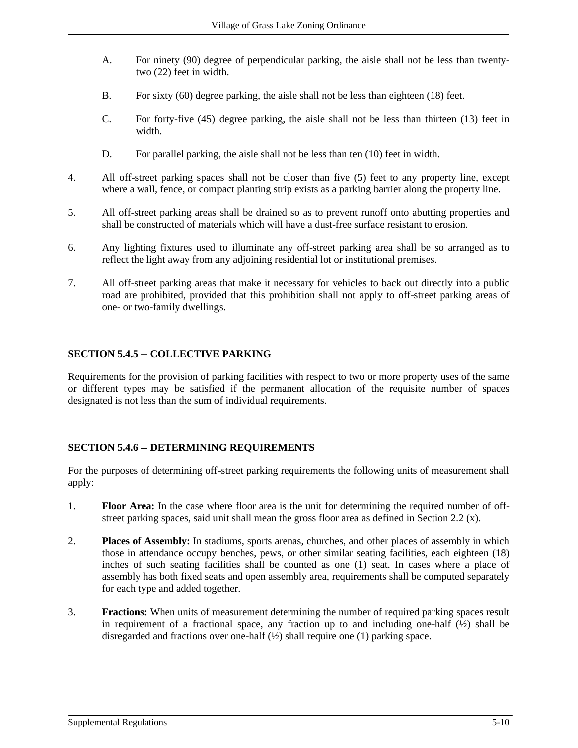- A. For ninety (90) degree of perpendicular parking, the aisle shall not be less than twentytwo (22) feet in width.
- B. For sixty (60) degree parking, the aisle shall not be less than eighteen (18) feet.
- C. For forty-five (45) degree parking, the aisle shall not be less than thirteen (13) feet in width.
- D. For parallel parking, the aisle shall not be less than ten (10) feet in width.
- 4. All off-street parking spaces shall not be closer than five (5) feet to any property line, except where a wall, fence, or compact planting strip exists as a parking barrier along the property line.
- 5. All off-street parking areas shall be drained so as to prevent runoff onto abutting properties and shall be constructed of materials which will have a dust-free surface resistant to erosion.
- 6. Any lighting fixtures used to illuminate any off-street parking area shall be so arranged as to reflect the light away from any adjoining residential lot or institutional premises.
- 7. All off-street parking areas that make it necessary for vehicles to back out directly into a public road are prohibited, provided that this prohibition shall not apply to off-street parking areas of one- or two-family dwellings.

# **SECTION 5.4.5 -- COLLECTIVE PARKING**

Requirements for the provision of parking facilities with respect to two or more property uses of the same or different types may be satisfied if the permanent allocation of the requisite number of spaces designated is not less than the sum of individual requirements.

## **SECTION 5.4.6 -- DETERMINING REQUIREMENTS**

For the purposes of determining off-street parking requirements the following units of measurement shall apply:

- 1. **Floor Area:** In the case where floor area is the unit for determining the required number of offstreet parking spaces, said unit shall mean the gross floor area as defined in Section 2.2 (x).
- 2. **Places of Assembly:** In stadiums, sports arenas, churches, and other places of assembly in which those in attendance occupy benches, pews, or other similar seating facilities, each eighteen (18) inches of such seating facilities shall be counted as one (1) seat. In cases where a place of assembly has both fixed seats and open assembly area, requirements shall be computed separately for each type and added together.
- 3. **Fractions:** When units of measurement determining the number of required parking spaces result in requirement of a fractional space, any fraction up to and including one-half  $(\frac{1}{2})$  shall be disregarded and fractions over one-half (½) shall require one (1) parking space.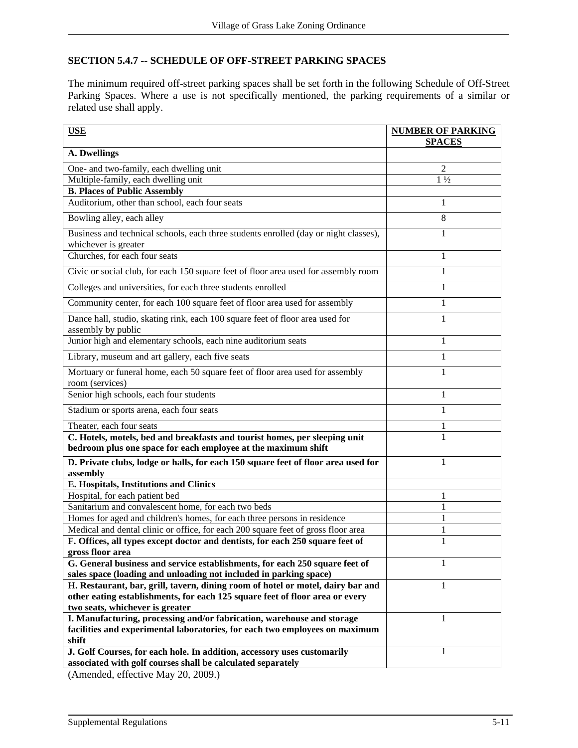# **SECTION 5.4.7 -- SCHEDULE OF OFF-STREET PARKING SPACES**

The minimum required off-street parking spaces shall be set forth in the following Schedule of Off-Street Parking Spaces. Where a use is not specifically mentioned, the parking requirements of a similar or related use shall apply.

| <b>USE</b>                                                                                                                                  | <b>NUMBER OF PARKING</b><br><b>SPACES</b> |
|---------------------------------------------------------------------------------------------------------------------------------------------|-------------------------------------------|
| A. Dwellings                                                                                                                                |                                           |
| One- and two-family, each dwelling unit                                                                                                     | $\overline{2}$                            |
| Multiple-family, each dwelling unit                                                                                                         | $1\frac{1}{2}$                            |
| <b>B. Places of Public Assembly</b>                                                                                                         |                                           |
| Auditorium, other than school, each four seats                                                                                              | 1                                         |
| Bowling alley, each alley                                                                                                                   | 8                                         |
| Business and technical schools, each three students enrolled (day or night classes),                                                        | 1                                         |
| whichever is greater                                                                                                                        |                                           |
| Churches, for each four seats                                                                                                               | 1                                         |
| Civic or social club, for each 150 square feet of floor area used for assembly room                                                         | 1                                         |
| Colleges and universities, for each three students enrolled                                                                                 | 1                                         |
| Community center, for each 100 square feet of floor area used for assembly                                                                  | 1                                         |
| Dance hall, studio, skating rink, each 100 square feet of floor area used for<br>assembly by public                                         | 1                                         |
| Junior high and elementary schools, each nine auditorium seats                                                                              | 1                                         |
| Library, museum and art gallery, each five seats                                                                                            | 1                                         |
| Mortuary or funeral home, each 50 square feet of floor area used for assembly<br>room (services)                                            | 1                                         |
| Senior high schools, each four students                                                                                                     | 1                                         |
| Stadium or sports arena, each four seats                                                                                                    | 1                                         |
| Theater, each four seats                                                                                                                    | 1                                         |
| C. Hotels, motels, bed and breakfasts and tourist homes, per sleeping unit<br>bedroom plus one space for each employee at the maximum shift |                                           |
| D. Private clubs, lodge or halls, for each 150 square feet of floor area used for<br>assembly                                               | 1                                         |
| E. Hospitals, Institutions and Clinics                                                                                                      |                                           |
| Hospital, for each patient bed                                                                                                              | 1                                         |
| Sanitarium and convalescent home, for each two beds                                                                                         | 1                                         |
| Homes for aged and children's homes, for each three persons in residence                                                                    | 1                                         |
| Medical and dental clinic or office, for each 200 square feet of gross floor area                                                           |                                           |
| F. Offices, all types except doctor and dentists, for each 250 square feet of                                                               | 1                                         |
| gross floor area<br>G. General business and service establishments, for each 250 square feet of                                             | 1                                         |
| sales space (loading and unloading not included in parking space)                                                                           |                                           |
| H. Restaurant, bar, grill, tavern, dining room of hotel or motel, dairy bar and                                                             | 1                                         |
| other eating establishments, for each 125 square feet of floor area or every<br>two seats, whichever is greater                             |                                           |
| I. Manufacturing, processing and/or fabrication, warehouse and storage                                                                      | 1                                         |
| facilities and experimental laboratories, for each two employees on maximum<br>shift                                                        |                                           |
| J. Golf Courses, for each hole. In addition, accessory uses customarily                                                                     |                                           |
| associated with golf courses shall be calculated separately                                                                                 |                                           |
|                                                                                                                                             |                                           |

(Amended, effective May 20, 2009.)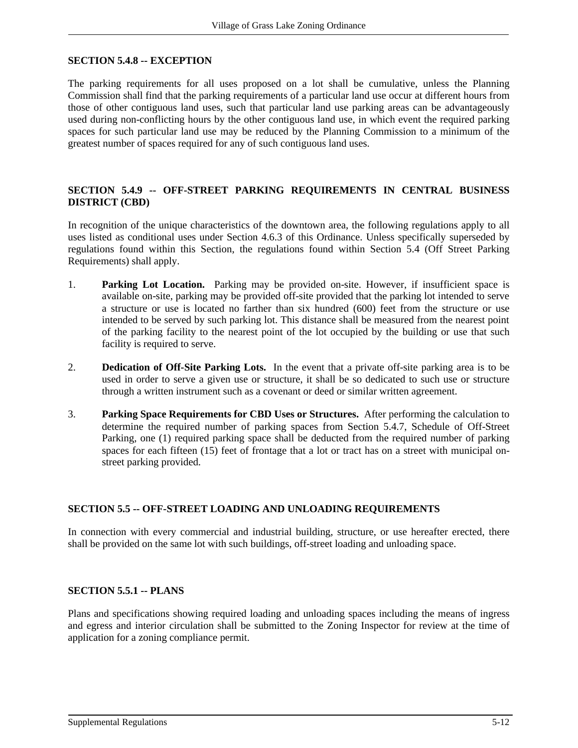### **SECTION 5.4.8 -- EXCEPTION**

The parking requirements for all uses proposed on a lot shall be cumulative, unless the Planning Commission shall find that the parking requirements of a particular land use occur at different hours from those of other contiguous land uses, such that particular land use parking areas can be advantageously used during non-conflicting hours by the other contiguous land use, in which event the required parking spaces for such particular land use may be reduced by the Planning Commission to a minimum of the greatest number of spaces required for any of such contiguous land uses.

### **SECTION 5.4.9 -- OFF-STREET PARKING REQUIREMENTS IN CENTRAL BUSINESS DISTRICT (CBD)**

In recognition of the unique characteristics of the downtown area, the following regulations apply to all uses listed as conditional uses under Section 4.6.3 of this Ordinance. Unless specifically superseded by regulations found within this Section, the regulations found within Section 5.4 (Off Street Parking Requirements) shall apply.

- 1. **Parking Lot Location.** Parking may be provided on-site. However, if insufficient space is available on-site, parking may be provided off-site provided that the parking lot intended to serve a structure or use is located no farther than six hundred (600) feet from the structure or use intended to be served by such parking lot. This distance shall be measured from the nearest point of the parking facility to the nearest point of the lot occupied by the building or use that such facility is required to serve.
- 2. **Dedication of Off-Site Parking Lots.** In the event that a private off-site parking area is to be used in order to serve a given use or structure, it shall be so dedicated to such use or structure through a written instrument such as a covenant or deed or similar written agreement.
- 3. **Parking Space Requirements for CBD Uses or Structures.** After performing the calculation to determine the required number of parking spaces from Section 5.4.7, Schedule of Off-Street Parking, one (1) required parking space shall be deducted from the required number of parking spaces for each fifteen (15) feet of frontage that a lot or tract has on a street with municipal onstreet parking provided.

#### **SECTION 5.5 -- OFF-STREET LOADING AND UNLOADING REQUIREMENTS**

In connection with every commercial and industrial building, structure, or use hereafter erected, there shall be provided on the same lot with such buildings, off-street loading and unloading space.

#### **SECTION 5.5.1 -- PLANS**

Plans and specifications showing required loading and unloading spaces including the means of ingress and egress and interior circulation shall be submitted to the Zoning Inspector for review at the time of application for a zoning compliance permit.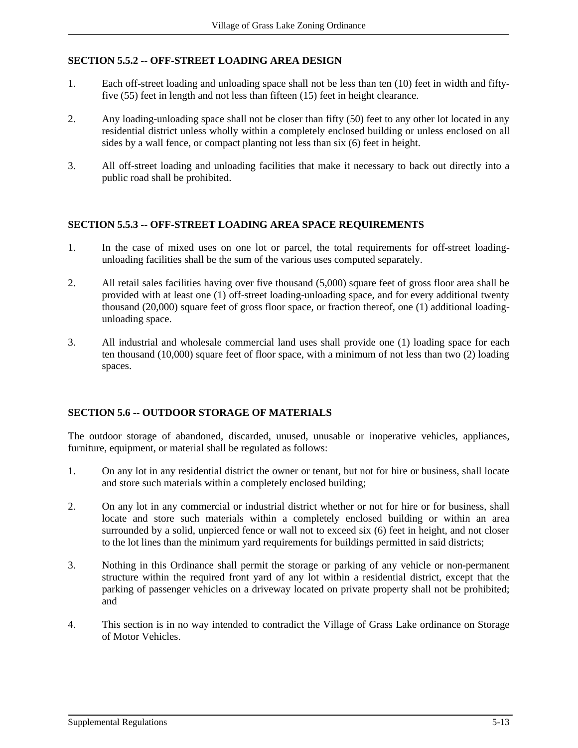# **SECTION 5.5.2 -- OFF-STREET LOADING AREA DESIGN**

- 1. Each off-street loading and unloading space shall not be less than ten (10) feet in width and fiftyfive (55) feet in length and not less than fifteen (15) feet in height clearance.
- 2. Any loading-unloading space shall not be closer than fifty (50) feet to any other lot located in any residential district unless wholly within a completely enclosed building or unless enclosed on all sides by a wall fence, or compact planting not less than six (6) feet in height.
- 3. All off-street loading and unloading facilities that make it necessary to back out directly into a public road shall be prohibited.

#### **SECTION 5.5.3 -- OFF-STREET LOADING AREA SPACE REQUIREMENTS**

- 1. In the case of mixed uses on one lot or parcel, the total requirements for off-street loadingunloading facilities shall be the sum of the various uses computed separately.
- 2. All retail sales facilities having over five thousand (5,000) square feet of gross floor area shall be provided with at least one (1) off-street loading-unloading space, and for every additional twenty thousand (20,000) square feet of gross floor space, or fraction thereof, one (1) additional loadingunloading space.
- 3. All industrial and wholesale commercial land uses shall provide one (1) loading space for each ten thousand (10,000) square feet of floor space, with a minimum of not less than two (2) loading spaces.

## **SECTION 5.6 -- OUTDOOR STORAGE OF MATERIALS**

The outdoor storage of abandoned, discarded, unused, unusable or inoperative vehicles, appliances, furniture, equipment, or material shall be regulated as follows:

- 1. On any lot in any residential district the owner or tenant, but not for hire or business, shall locate and store such materials within a completely enclosed building;
- 2. On any lot in any commercial or industrial district whether or not for hire or for business, shall locate and store such materials within a completely enclosed building or within an area surrounded by a solid, unpierced fence or wall not to exceed six (6) feet in height, and not closer to the lot lines than the minimum yard requirements for buildings permitted in said districts;
- 3. Nothing in this Ordinance shall permit the storage or parking of any vehicle or non-permanent structure within the required front yard of any lot within a residential district, except that the parking of passenger vehicles on a driveway located on private property shall not be prohibited; and
- 4. This section is in no way intended to contradict the Village of Grass Lake ordinance on Storage of Motor Vehicles.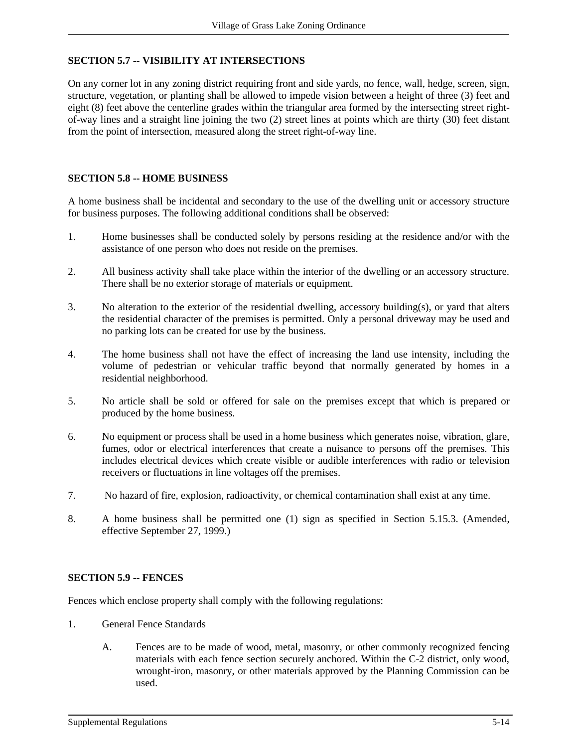# **SECTION 5.7 -- VISIBILITY AT INTERSECTIONS**

On any corner lot in any zoning district requiring front and side yards, no fence, wall, hedge, screen, sign, structure, vegetation, or planting shall be allowed to impede vision between a height of three (3) feet and eight (8) feet above the centerline grades within the triangular area formed by the intersecting street rightof-way lines and a straight line joining the two (2) street lines at points which are thirty (30) feet distant from the point of intersection, measured along the street right-of-way line.

#### **SECTION 5.8 -- HOME BUSINESS**

A home business shall be incidental and secondary to the use of the dwelling unit or accessory structure for business purposes. The following additional conditions shall be observed:

- 1. Home businesses shall be conducted solely by persons residing at the residence and/or with the assistance of one person who does not reside on the premises.
- 2. All business activity shall take place within the interior of the dwelling or an accessory structure. There shall be no exterior storage of materials or equipment.
- 3. No alteration to the exterior of the residential dwelling, accessory building(s), or yard that alters the residential character of the premises is permitted. Only a personal driveway may be used and no parking lots can be created for use by the business.
- 4. The home business shall not have the effect of increasing the land use intensity, including the volume of pedestrian or vehicular traffic beyond that normally generated by homes in a residential neighborhood.
- 5. No article shall be sold or offered for sale on the premises except that which is prepared or produced by the home business.
- 6. No equipment or process shall be used in a home business which generates noise, vibration, glare, fumes, odor or electrical interferences that create a nuisance to persons off the premises. This includes electrical devices which create visible or audible interferences with radio or television receivers or fluctuations in line voltages off the premises.
- 7. No hazard of fire, explosion, radioactivity, or chemical contamination shall exist at any time.
- 8. A home business shall be permitted one (1) sign as specified in Section 5.15.3. (Amended, effective September 27, 1999.)

#### **SECTION 5.9 -- FENCES**

Fences which enclose property shall comply with the following regulations:

- 1. General Fence Standards
	- A. Fences are to be made of wood, metal, masonry, or other commonly recognized fencing materials with each fence section securely anchored. Within the C-2 district, only wood, wrought-iron, masonry, or other materials approved by the Planning Commission can be used.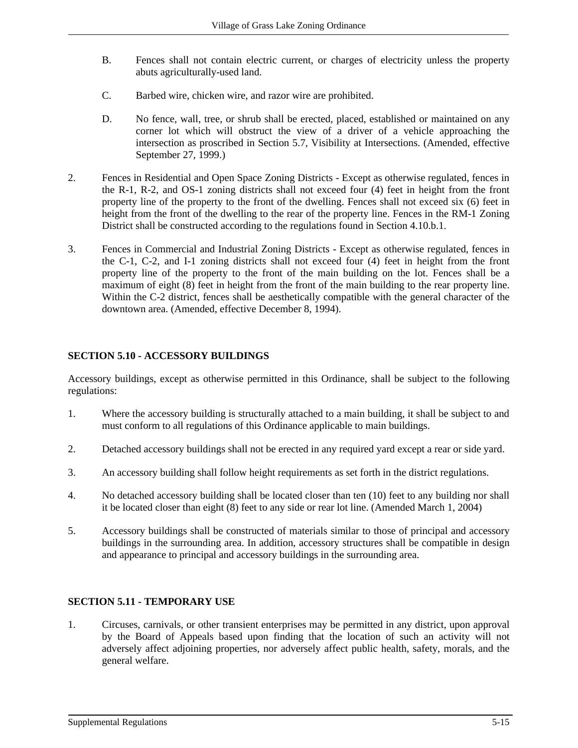- B. Fences shall not contain electric current, or charges of electricity unless the property abuts agriculturally-used land.
- C. Barbed wire, chicken wire, and razor wire are prohibited.
- D. No fence, wall, tree, or shrub shall be erected, placed, established or maintained on any corner lot which will obstruct the view of a driver of a vehicle approaching the intersection as proscribed in Section 5.7, Visibility at Intersections. (Amended, effective September 27, 1999.)
- 2. Fences in Residential and Open Space Zoning Districts Except as otherwise regulated, fences in the R-1, R-2, and OS-1 zoning districts shall not exceed four (4) feet in height from the front property line of the property to the front of the dwelling. Fences shall not exceed six (6) feet in height from the front of the dwelling to the rear of the property line. Fences in the RM-1 Zoning District shall be constructed according to the regulations found in Section 4.10.b.1.
- 3. Fences in Commercial and Industrial Zoning Districts Except as otherwise regulated, fences in the C-1, C-2, and I-1 zoning districts shall not exceed four (4) feet in height from the front property line of the property to the front of the main building on the lot. Fences shall be a maximum of eight (8) feet in height from the front of the main building to the rear property line. Within the C-2 district, fences shall be aesthetically compatible with the general character of the downtown area. (Amended, effective December 8, 1994).

# **SECTION 5.10 - ACCESSORY BUILDINGS**

Accessory buildings, except as otherwise permitted in this Ordinance, shall be subject to the following regulations:

- 1. Where the accessory building is structurally attached to a main building, it shall be subject to and must conform to all regulations of this Ordinance applicable to main buildings.
- 2. Detached accessory buildings shall not be erected in any required yard except a rear or side yard.
- 3. An accessory building shall follow height requirements as set forth in the district regulations.
- 4. No detached accessory building shall be located closer than ten (10) feet to any building nor shall it be located closer than eight (8) feet to any side or rear lot line. (Amended March 1, 2004)
- 5. Accessory buildings shall be constructed of materials similar to those of principal and accessory buildings in the surrounding area. In addition, accessory structures shall be compatible in design and appearance to principal and accessory buildings in the surrounding area.

## **SECTION 5.11 - TEMPORARY USE**

1. Circuses, carnivals, or other transient enterprises may be permitted in any district, upon approval by the Board of Appeals based upon finding that the location of such an activity will not adversely affect adjoining properties, nor adversely affect public health, safety, morals, and the general welfare.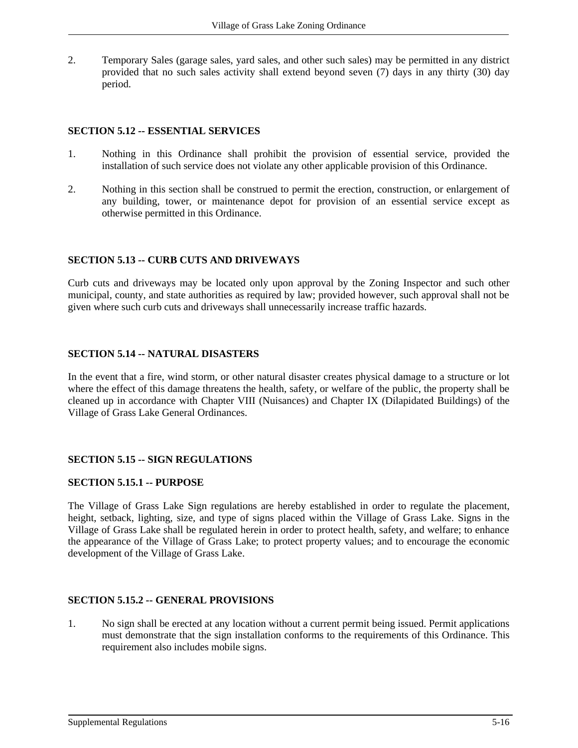2. Temporary Sales (garage sales, yard sales, and other such sales) may be permitted in any district provided that no such sales activity shall extend beyond seven (7) days in any thirty (30) day period.

#### **SECTION 5.12 -- ESSENTIAL SERVICES**

- 1. Nothing in this Ordinance shall prohibit the provision of essential service, provided the installation of such service does not violate any other applicable provision of this Ordinance.
- 2. Nothing in this section shall be construed to permit the erection, construction, or enlargement of any building, tower, or maintenance depot for provision of an essential service except as otherwise permitted in this Ordinance.

# **SECTION 5.13 -- CURB CUTS AND DRIVEWAYS**

Curb cuts and driveways may be located only upon approval by the Zoning Inspector and such other municipal, county, and state authorities as required by law; provided however, such approval shall not be given where such curb cuts and driveways shall unnecessarily increase traffic hazards.

## **SECTION 5.14 -- NATURAL DISASTERS**

In the event that a fire, wind storm, or other natural disaster creates physical damage to a structure or lot where the effect of this damage threatens the health, safety, or welfare of the public, the property shall be cleaned up in accordance with Chapter VIII (Nuisances) and Chapter IX (Dilapidated Buildings) of the Village of Grass Lake General Ordinances.

## **SECTION 5.15 -- SIGN REGULATIONS**

#### **SECTION 5.15.1 -- PURPOSE**

The Village of Grass Lake Sign regulations are hereby established in order to regulate the placement, height, setback, lighting, size, and type of signs placed within the Village of Grass Lake. Signs in the Village of Grass Lake shall be regulated herein in order to protect health, safety, and welfare; to enhance the appearance of the Village of Grass Lake; to protect property values; and to encourage the economic development of the Village of Grass Lake.

## **SECTION 5.15.2 -- GENERAL PROVISIONS**

1. No sign shall be erected at any location without a current permit being issued. Permit applications must demonstrate that the sign installation conforms to the requirements of this Ordinance. This requirement also includes mobile signs.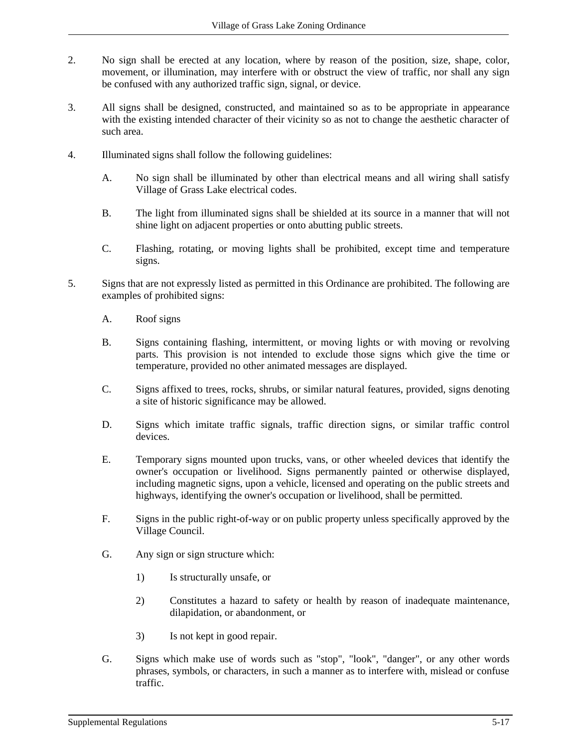- 2. No sign shall be erected at any location, where by reason of the position, size, shape, color, movement, or illumination, may interfere with or obstruct the view of traffic, nor shall any sign be confused with any authorized traffic sign, signal, or device.
- 3. All signs shall be designed, constructed, and maintained so as to be appropriate in appearance with the existing intended character of their vicinity so as not to change the aesthetic character of such area.
- 4. Illuminated signs shall follow the following guidelines:
	- A. No sign shall be illuminated by other than electrical means and all wiring shall satisfy Village of Grass Lake electrical codes.
	- B. The light from illuminated signs shall be shielded at its source in a manner that will not shine light on adjacent properties or onto abutting public streets.
	- C. Flashing, rotating, or moving lights shall be prohibited, except time and temperature signs.
- 5. Signs that are not expressly listed as permitted in this Ordinance are prohibited. The following are examples of prohibited signs:
	- A. Roof signs
	- B. Signs containing flashing, intermittent, or moving lights or with moving or revolving parts. This provision is not intended to exclude those signs which give the time or temperature, provided no other animated messages are displayed.
	- C. Signs affixed to trees, rocks, shrubs, or similar natural features, provided, signs denoting a site of historic significance may be allowed.
	- D. Signs which imitate traffic signals, traffic direction signs, or similar traffic control devices.
	- E. Temporary signs mounted upon trucks, vans, or other wheeled devices that identify the owner's occupation or livelihood. Signs permanently painted or otherwise displayed, including magnetic signs, upon a vehicle, licensed and operating on the public streets and highways, identifying the owner's occupation or livelihood, shall be permitted.
	- F. Signs in the public right-of-way or on public property unless specifically approved by the Village Council.
	- G. Any sign or sign structure which:
		- 1) Is structurally unsafe, or
		- 2) Constitutes a hazard to safety or health by reason of inadequate maintenance, dilapidation, or abandonment, or
		- 3) Is not kept in good repair.
	- G. Signs which make use of words such as "stop", "look", "danger", or any other words phrases, symbols, or characters, in such a manner as to interfere with, mislead or confuse traffic.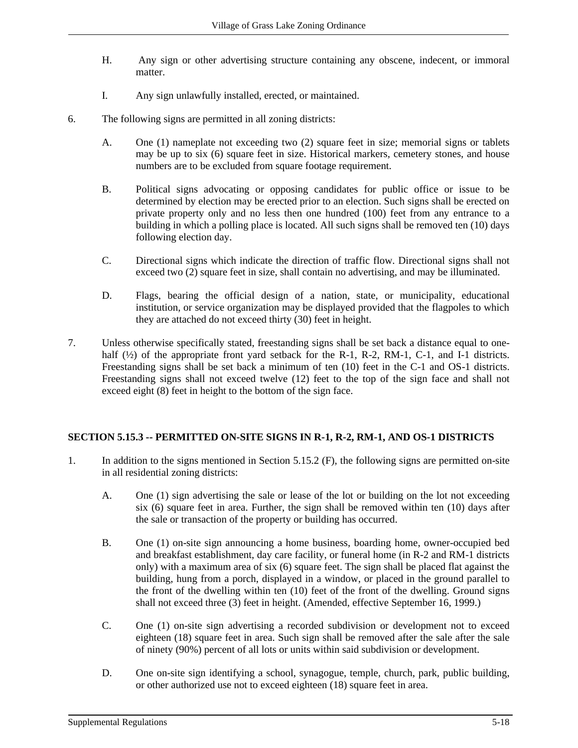- H. Any sign or other advertising structure containing any obscene, indecent, or immoral matter.
- I. Any sign unlawfully installed, erected, or maintained.
- 6. The following signs are permitted in all zoning districts:
	- A. One (1) nameplate not exceeding two (2) square feet in size; memorial signs or tablets may be up to six (6) square feet in size. Historical markers, cemetery stones, and house numbers are to be excluded from square footage requirement.
	- B. Political signs advocating or opposing candidates for public office or issue to be determined by election may be erected prior to an election. Such signs shall be erected on private property only and no less then one hundred (100) feet from any entrance to a building in which a polling place is located. All such signs shall be removed ten (10) days following election day.
	- C. Directional signs which indicate the direction of traffic flow. Directional signs shall not exceed two (2) square feet in size, shall contain no advertising, and may be illuminated.
	- D. Flags, bearing the official design of a nation, state, or municipality, educational institution, or service organization may be displayed provided that the flagpoles to which they are attached do not exceed thirty (30) feet in height.
- 7. Unless otherwise specifically stated, freestanding signs shall be set back a distance equal to onehalf  $(\frac{1}{2})$  of the appropriate front yard setback for the R-1, R-2, RM-1, C-1, and I-1 districts. Freestanding signs shall be set back a minimum of ten (10) feet in the C-1 and OS-1 districts. Freestanding signs shall not exceed twelve (12) feet to the top of the sign face and shall not exceed eight (8) feet in height to the bottom of the sign face.

## **SECTION 5.15.3 -- PERMITTED ON-SITE SIGNS IN R-1, R-2, RM-1, AND OS-1 DISTRICTS**

- 1. In addition to the signs mentioned in Section 5.15.2 (F), the following signs are permitted on-site in all residential zoning districts:
	- A. One (1) sign advertising the sale or lease of the lot or building on the lot not exceeding six (6) square feet in area. Further, the sign shall be removed within ten (10) days after the sale or transaction of the property or building has occurred.
	- B. One (1) on-site sign announcing a home business, boarding home, owner-occupied bed and breakfast establishment, day care facility, or funeral home (in R-2 and RM-1 districts only) with a maximum area of six (6) square feet. The sign shall be placed flat against the building, hung from a porch, displayed in a window, or placed in the ground parallel to the front of the dwelling within ten (10) feet of the front of the dwelling. Ground signs shall not exceed three (3) feet in height. (Amended, effective September 16, 1999.)
	- C. One (1) on-site sign advertising a recorded subdivision or development not to exceed eighteen (18) square feet in area. Such sign shall be removed after the sale after the sale of ninety (90%) percent of all lots or units within said subdivision or development.
	- D. One on-site sign identifying a school, synagogue, temple, church, park, public building, or other authorized use not to exceed eighteen (18) square feet in area.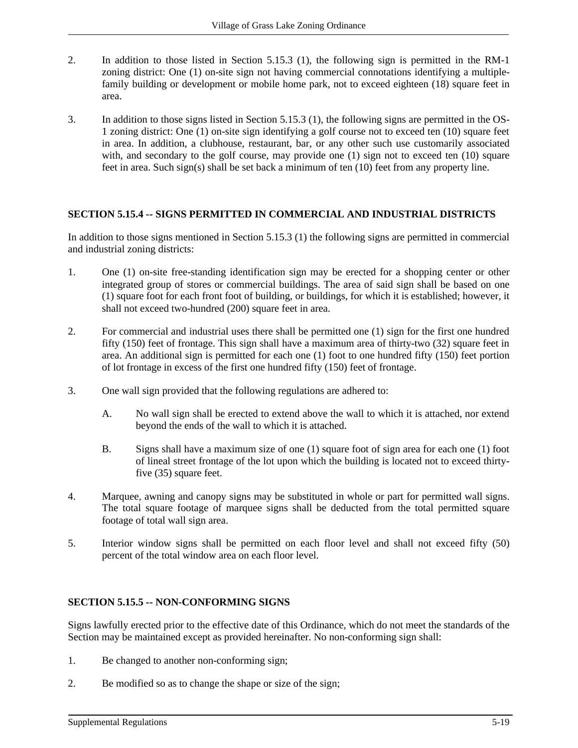- 2. In addition to those listed in Section 5.15.3 (1), the following sign is permitted in the RM-1 zoning district: One (1) on-site sign not having commercial connotations identifying a multiplefamily building or development or mobile home park, not to exceed eighteen (18) square feet in area.
- 3. In addition to those signs listed in Section 5.15.3 (1), the following signs are permitted in the OS-1 zoning district: One (1) on-site sign identifying a golf course not to exceed ten (10) square feet in area. In addition, a clubhouse, restaurant, bar, or any other such use customarily associated with, and secondary to the golf course, may provide one (1) sign not to exceed ten (10) square feet in area. Such sign(s) shall be set back a minimum of ten (10) feet from any property line.

## **SECTION 5.15.4 -- SIGNS PERMITTED IN COMMERCIAL AND INDUSTRIAL DISTRICTS**

In addition to those signs mentioned in Section 5.15.3 (1) the following signs are permitted in commercial and industrial zoning districts:

- 1. One (1) on-site free-standing identification sign may be erected for a shopping center or other integrated group of stores or commercial buildings. The area of said sign shall be based on one (1) square foot for each front foot of building, or buildings, for which it is established; however, it shall not exceed two-hundred (200) square feet in area.
- 2. For commercial and industrial uses there shall be permitted one (1) sign for the first one hundred fifty (150) feet of frontage. This sign shall have a maximum area of thirty-two (32) square feet in area. An additional sign is permitted for each one (1) foot to one hundred fifty (150) feet portion of lot frontage in excess of the first one hundred fifty (150) feet of frontage.
- 3. One wall sign provided that the following regulations are adhered to:
	- A. No wall sign shall be erected to extend above the wall to which it is attached, nor extend beyond the ends of the wall to which it is attached.
	- B. Signs shall have a maximum size of one (1) square foot of sign area for each one (1) foot of lineal street frontage of the lot upon which the building is located not to exceed thirtyfive (35) square feet.
- 4. Marquee, awning and canopy signs may be substituted in whole or part for permitted wall signs. The total square footage of marquee signs shall be deducted from the total permitted square footage of total wall sign area.
- 5. Interior window signs shall be permitted on each floor level and shall not exceed fifty (50) percent of the total window area on each floor level.

## **SECTION 5.15.5 -- NON-CONFORMING SIGNS**

Signs lawfully erected prior to the effective date of this Ordinance, which do not meet the standards of the Section may be maintained except as provided hereinafter. No non-conforming sign shall:

- 1. Be changed to another non-conforming sign;
- 2. Be modified so as to change the shape or size of the sign;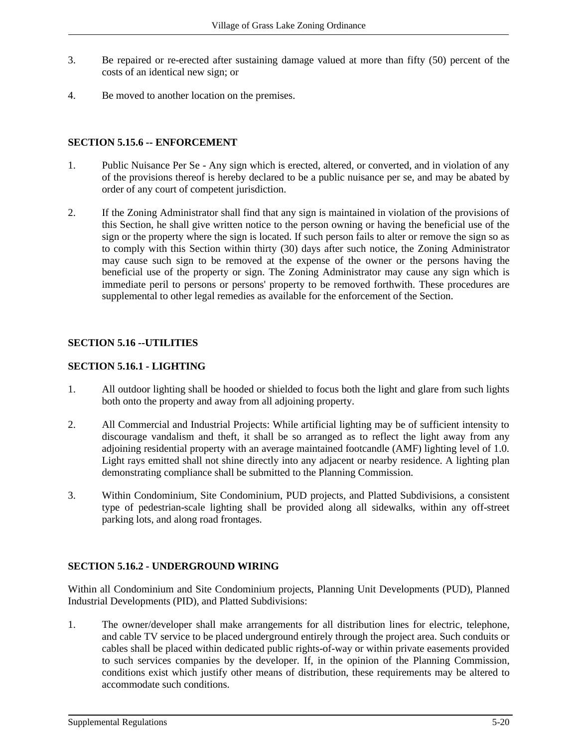- 3. Be repaired or re-erected after sustaining damage valued at more than fifty (50) percent of the costs of an identical new sign; or
- 4. Be moved to another location on the premises.

## **SECTION 5.15.6 -- ENFORCEMENT**

- 1. Public Nuisance Per Se Any sign which is erected, altered, or converted, and in violation of any of the provisions thereof is hereby declared to be a public nuisance per se, and may be abated by order of any court of competent jurisdiction.
- 2. If the Zoning Administrator shall find that any sign is maintained in violation of the provisions of this Section, he shall give written notice to the person owning or having the beneficial use of the sign or the property where the sign is located. If such person fails to alter or remove the sign so as to comply with this Section within thirty (30) days after such notice, the Zoning Administrator may cause such sign to be removed at the expense of the owner or the persons having the beneficial use of the property or sign. The Zoning Administrator may cause any sign which is immediate peril to persons or persons' property to be removed forthwith. These procedures are supplemental to other legal remedies as available for the enforcement of the Section.

# **SECTION 5.16 --UTILITIES**

## **SECTION 5.16.1 - LIGHTING**

- 1. All outdoor lighting shall be hooded or shielded to focus both the light and glare from such lights both onto the property and away from all adjoining property.
- 2. All Commercial and Industrial Projects: While artificial lighting may be of sufficient intensity to discourage vandalism and theft, it shall be so arranged as to reflect the light away from any adjoining residential property with an average maintained footcandle (AMF) lighting level of 1.0. Light rays emitted shall not shine directly into any adjacent or nearby residence. A lighting plan demonstrating compliance shall be submitted to the Planning Commission.
- 3. Within Condominium, Site Condominium, PUD projects, and Platted Subdivisions, a consistent type of pedestrian-scale lighting shall be provided along all sidewalks, within any off-street parking lots, and along road frontages.

## **SECTION 5.16.2 - UNDERGROUND WIRING**

Within all Condominium and Site Condominium projects, Planning Unit Developments (PUD), Planned Industrial Developments (PID), and Platted Subdivisions:

1. The owner/developer shall make arrangements for all distribution lines for electric, telephone, and cable TV service to be placed underground entirely through the project area. Such conduits or cables shall be placed within dedicated public rights-of-way or within private easements provided to such services companies by the developer. If, in the opinion of the Planning Commission, conditions exist which justify other means of distribution, these requirements may be altered to accommodate such conditions.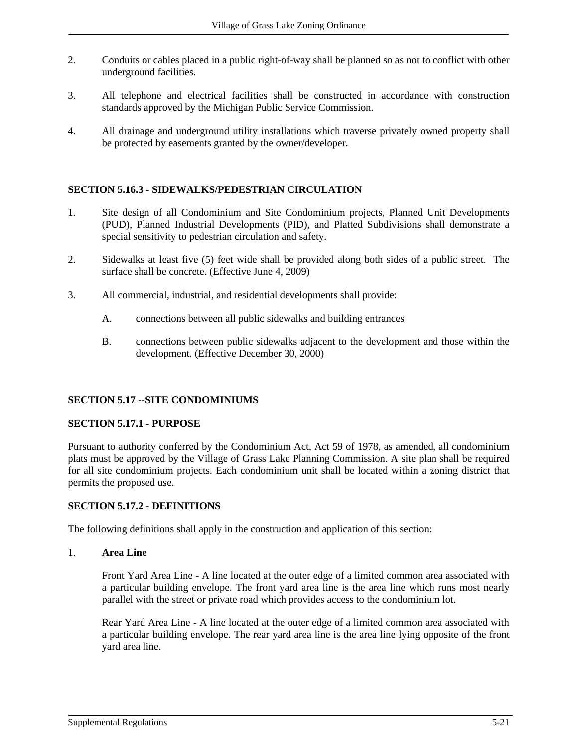- 2. Conduits or cables placed in a public right-of-way shall be planned so as not to conflict with other underground facilities.
- 3. All telephone and electrical facilities shall be constructed in accordance with construction standards approved by the Michigan Public Service Commission.
- 4. All drainage and underground utility installations which traverse privately owned property shall be protected by easements granted by the owner/developer.

## **SECTION 5.16.3 - SIDEWALKS/PEDESTRIAN CIRCULATION**

- 1. Site design of all Condominium and Site Condominium projects, Planned Unit Developments (PUD), Planned Industrial Developments (PID), and Platted Subdivisions shall demonstrate a special sensitivity to pedestrian circulation and safety.
- 2. Sidewalks at least five (5) feet wide shall be provided along both sides of a public street. The surface shall be concrete. (Effective June 4, 2009)
- 3. All commercial, industrial, and residential developments shall provide:
	- A. connections between all public sidewalks and building entrances
	- B. connections between public sidewalks adjacent to the development and those within the development. (Effective December 30, 2000)

## **SECTION 5.17 --SITE CONDOMINIUMS**

#### **SECTION 5.17.1 - PURPOSE**

Pursuant to authority conferred by the Condominium Act, Act 59 of 1978, as amended, all condominium plats must be approved by the Village of Grass Lake Planning Commission. A site plan shall be required for all site condominium projects. Each condominium unit shall be located within a zoning district that permits the proposed use.

#### **SECTION 5.17.2 - DEFINITIONS**

The following definitions shall apply in the construction and application of this section:

#### 1. **Area Line**

Front Yard Area Line - A line located at the outer edge of a limited common area associated with a particular building envelope. The front yard area line is the area line which runs most nearly parallel with the street or private road which provides access to the condominium lot.

Rear Yard Area Line - A line located at the outer edge of a limited common area associated with a particular building envelope. The rear yard area line is the area line lying opposite of the front yard area line.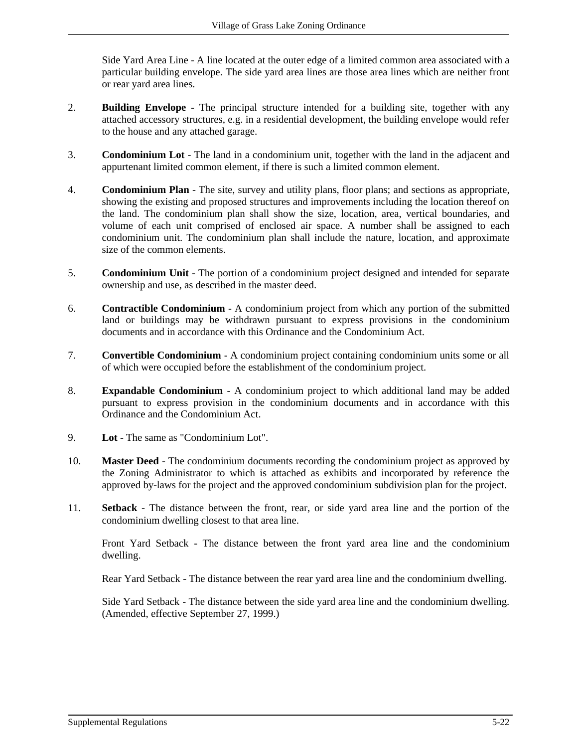Side Yard Area Line - A line located at the outer edge of a limited common area associated with a particular building envelope. The side yard area lines are those area lines which are neither front or rear yard area lines.

- 2. **Building Envelope** The principal structure intended for a building site, together with any attached accessory structures, e.g. in a residential development, the building envelope would refer to the house and any attached garage.
- 3. **Condominium Lot** The land in a condominium unit, together with the land in the adjacent and appurtenant limited common element, if there is such a limited common element.
- 4. **Condominium Plan** The site, survey and utility plans, floor plans; and sections as appropriate, showing the existing and proposed structures and improvements including the location thereof on the land. The condominium plan shall show the size, location, area, vertical boundaries, and volume of each unit comprised of enclosed air space. A number shall be assigned to each condominium unit. The condominium plan shall include the nature, location, and approximate size of the common elements.
- 5. **Condominium Unit** The portion of a condominium project designed and intended for separate ownership and use, as described in the master deed.
- 6. **Contractible Condominium** A condominium project from which any portion of the submitted land or buildings may be withdrawn pursuant to express provisions in the condominium documents and in accordance with this Ordinance and the Condominium Act.
- 7. **Convertible Condominium** A condominium project containing condominium units some or all of which were occupied before the establishment of the condominium project.
- 8. **Expandable Condominium** A condominium project to which additional land may be added pursuant to express provision in the condominium documents and in accordance with this Ordinance and the Condominium Act.
- 9. **Lot** The same as "Condominium Lot".
- 10. **Master Deed**  The condominium documents recording the condominium project as approved by the Zoning Administrator to which is attached as exhibits and incorporated by reference the approved by-laws for the project and the approved condominium subdivision plan for the project.
- 11. **Setback** The distance between the front, rear, or side yard area line and the portion of the condominium dwelling closest to that area line.

Front Yard Setback - The distance between the front yard area line and the condominium dwelling.

Rear Yard Setback - The distance between the rear yard area line and the condominium dwelling.

Side Yard Setback - The distance between the side yard area line and the condominium dwelling. (Amended, effective September 27, 1999.)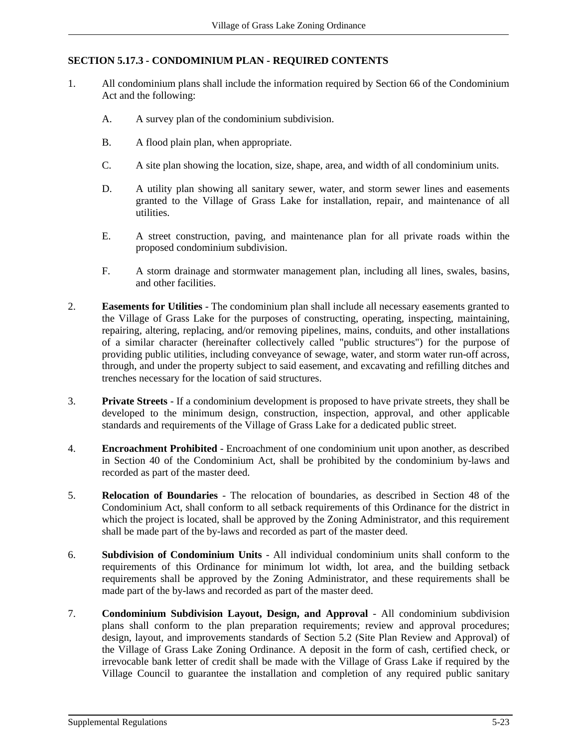# **SECTION 5.17.3 - CONDOMINIUM PLAN - REQUIRED CONTENTS**

- 1. All condominium plans shall include the information required by Section 66 of the Condominium Act and the following:
	- A. A survey plan of the condominium subdivision.
	- B. A flood plain plan, when appropriate.
	- C. A site plan showing the location, size, shape, area, and width of all condominium units.
	- D. A utility plan showing all sanitary sewer, water, and storm sewer lines and easements granted to the Village of Grass Lake for installation, repair, and maintenance of all utilities.
	- E. A street construction, paving, and maintenance plan for all private roads within the proposed condominium subdivision.
	- F. A storm drainage and stormwater management plan, including all lines, swales, basins, and other facilities.
- 2. **Easements for Utilities** The condominium plan shall include all necessary easements granted to the Village of Grass Lake for the purposes of constructing, operating, inspecting, maintaining, repairing, altering, replacing, and/or removing pipelines, mains, conduits, and other installations of a similar character (hereinafter collectively called "public structures") for the purpose of providing public utilities, including conveyance of sewage, water, and storm water run-off across, through, and under the property subject to said easement, and excavating and refilling ditches and trenches necessary for the location of said structures.
- 3. **Private Streets** If a condominium development is proposed to have private streets, they shall be developed to the minimum design, construction, inspection, approval, and other applicable standards and requirements of the Village of Grass Lake for a dedicated public street.
- 4. **Encroachment Prohibited** Encroachment of one condominium unit upon another, as described in Section 40 of the Condominium Act, shall be prohibited by the condominium by-laws and recorded as part of the master deed.
- 5. **Relocation of Boundaries** The relocation of boundaries, as described in Section 48 of the Condominium Act, shall conform to all setback requirements of this Ordinance for the district in which the project is located, shall be approved by the Zoning Administrator, and this requirement shall be made part of the by-laws and recorded as part of the master deed.
- 6. **Subdivision of Condominium Units** All individual condominium units shall conform to the requirements of this Ordinance for minimum lot width, lot area, and the building setback requirements shall be approved by the Zoning Administrator, and these requirements shall be made part of the by-laws and recorded as part of the master deed.
- 7. **Condominium Subdivision Layout, Design, and Approval** All condominium subdivision plans shall conform to the plan preparation requirements; review and approval procedures; design, layout, and improvements standards of Section 5.2 (Site Plan Review and Approval) of the Village of Grass Lake Zoning Ordinance. A deposit in the form of cash, certified check, or irrevocable bank letter of credit shall be made with the Village of Grass Lake if required by the Village Council to guarantee the installation and completion of any required public sanitary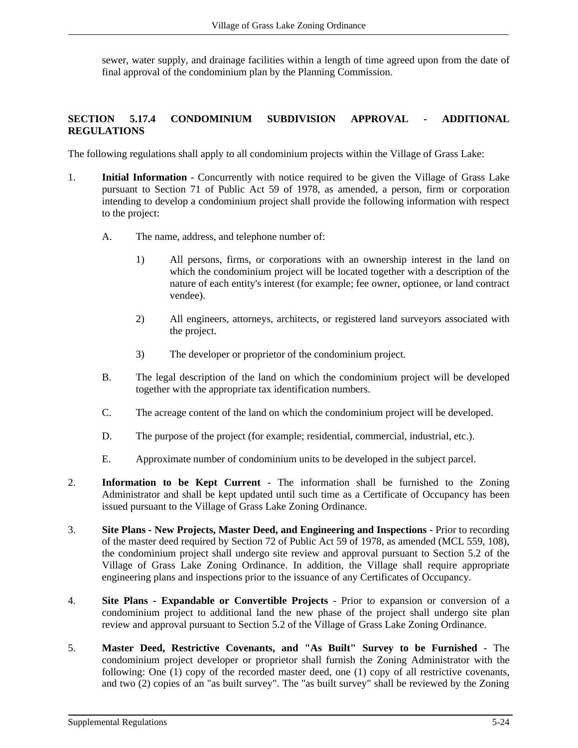sewer, water supply, and drainage facilities within a length of time agreed upon from the date of final approval of the condominium plan by the Planning Commission.

## **SECTION 5.17.4 CONDOMINIUM SUBDIVISION APPROVAL - ADDITIONAL REGULATIONS**

The following regulations shall apply to all condominium projects within the Village of Grass Lake:

- 1. **Initial Information** Concurrently with notice required to be given the Village of Grass Lake pursuant to Section 71 of Public Act 59 of 1978, as amended, a person, firm or corporation intending to develop a condominium project shall provide the following information with respect to the project:
	- A. The name, address, and telephone number of:
		- 1) All persons, firms, or corporations with an ownership interest in the land on which the condominium project will be located together with a description of the nature of each entity's interest (for example; fee owner, optionee, or land contract vendee).
		- 2) All engineers, attorneys, architects, or registered land surveyors associated with the project.
		- 3) The developer or proprietor of the condominium project.
	- B. The legal description of the land on which the condominium project will be developed together with the appropriate tax identification numbers.
	- C. The acreage content of the land on which the condominium project will be developed.
	- D. The purpose of the project (for example; residential, commercial, industrial, etc.).
	- E. Approximate number of condominium units to be developed in the subject parcel.
- 2. **Information to be Kept Current** The information shall be furnished to the Zoning Administrator and shall be kept updated until such time as a Certificate of Occupancy has been issued pursuant to the Village of Grass Lake Zoning Ordinance.
- 3. **Site Plans - New Projects, Master Deed, and Engineering and Inspections** Prior to recording of the master deed required by Section 72 of Public Act 59 of 1978, as amended (MCL 559, 108), the condominium project shall undergo site review and approval pursuant to Section 5.2 of the Village of Grass Lake Zoning Ordinance. In addition, the Village shall require appropriate engineering plans and inspections prior to the issuance of any Certificates of Occupancy.
- 4. **Site Plans - Expandable or Convertible Projects** Prior to expansion or conversion of a condominium project to additional land the new phase of the project shall undergo site plan review and approval pursuant to Section 5.2 of the Village of Grass Lake Zoning Ordinance.
- 5. **Master Deed, Restrictive Covenants, and "As Built" Survey to be Furnished** The condominium project developer or proprietor shall furnish the Zoning Administrator with the following: One (1) copy of the recorded master deed, one (1) copy of all restrictive covenants, and two (2) copies of an "as built survey". The "as built survey" shall be reviewed by the Zoning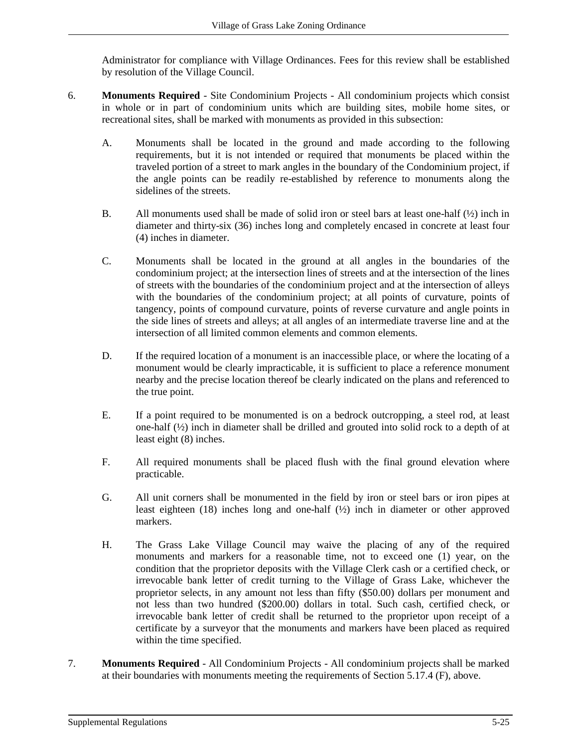Administrator for compliance with Village Ordinances. Fees for this review shall be established by resolution of the Village Council.

- 6. **Monuments Required** Site Condominium Projects All condominium projects which consist in whole or in part of condominium units which are building sites, mobile home sites, or recreational sites, shall be marked with monuments as provided in this subsection:
	- A. Monuments shall be located in the ground and made according to the following requirements, but it is not intended or required that monuments be placed within the traveled portion of a street to mark angles in the boundary of the Condominium project, if the angle points can be readily re-established by reference to monuments along the sidelines of the streets.
	- B. All monuments used shall be made of solid iron or steel bars at least one-half  $(\frac{1}{2})$  inch in diameter and thirty-six (36) inches long and completely encased in concrete at least four (4) inches in diameter.
	- C. Monuments shall be located in the ground at all angles in the boundaries of the condominium project; at the intersection lines of streets and at the intersection of the lines of streets with the boundaries of the condominium project and at the intersection of alleys with the boundaries of the condominium project; at all points of curvature, points of tangency, points of compound curvature, points of reverse curvature and angle points in the side lines of streets and alleys; at all angles of an intermediate traverse line and at the intersection of all limited common elements and common elements.
	- D. If the required location of a monument is an inaccessible place, or where the locating of a monument would be clearly impracticable, it is sufficient to place a reference monument nearby and the precise location thereof be clearly indicated on the plans and referenced to the true point.
	- E. If a point required to be monumented is on a bedrock outcropping, a steel rod, at least one-half  $\frac{1}{2}$  inch in diameter shall be drilled and grouted into solid rock to a depth of at least eight (8) inches.
	- F. All required monuments shall be placed flush with the final ground elevation where practicable.
	- G. All unit corners shall be monumented in the field by iron or steel bars or iron pipes at least eighteen (18) inches long and one-half (½) inch in diameter or other approved markers.
	- H. The Grass Lake Village Council may waive the placing of any of the required monuments and markers for a reasonable time, not to exceed one (1) year, on the condition that the proprietor deposits with the Village Clerk cash or a certified check, or irrevocable bank letter of credit turning to the Village of Grass Lake, whichever the proprietor selects, in any amount not less than fifty (\$50.00) dollars per monument and not less than two hundred (\$200.00) dollars in total. Such cash, certified check, or irrevocable bank letter of credit shall be returned to the proprietor upon receipt of a certificate by a surveyor that the monuments and markers have been placed as required within the time specified.
- 7. **Monuments Required** All Condominium Projects All condominium projects shall be marked at their boundaries with monuments meeting the requirements of Section 5.17.4 (F), above.